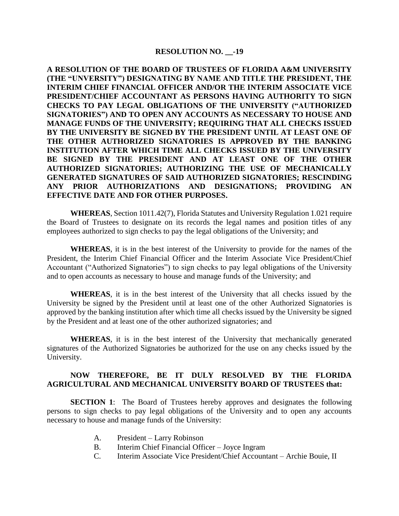#### **RESOLUTION NO. \_\_-19**

**A RESOLUTION OF THE BOARD OF TRUSTEES OF FLORIDA A&M UNIVERSITY (THE "UNVERSITY") DESIGNATING BY NAME AND TITLE THE PRESIDENT, THE INTERIM CHIEF FINANCIAL OFFICER AND/OR THE INTERIM ASSOCIATE VICE PRESIDENT/CHIEF ACCOUNTANT AS PERSONS HAVING AUTHORITY TO SIGN CHECKS TO PAY LEGAL OBLIGATIONS OF THE UNIVERSITY ("AUTHORIZED SIGNATORIES") AND TO OPEN ANY ACCOUNTS AS NECESSARY TO HOUSE AND MANAGE FUNDS OF THE UNIVERSITY; REQUIRING THAT ALL CHECKS ISSUED BY THE UNIVERSITY BE SIGNED BY THE PRESIDENT UNTIL AT LEAST ONE OF THE OTHER AUTHORIZED SIGNATORIES IS APPROVED BY THE BANKING INSTITUTION AFTER WHICH TIME ALL CHECKS ISSUED BY THE UNIVERSITY BE SIGNED BY THE PRESIDENT AND AT LEAST ONE OF THE OTHER AUTHORIZED SIGNATORIES; AUTHORIZING THE USE OF MECHANICALLY GENERATED SIGNATURES OF SAID AUTHORIZED SIGNATORIES; RESCINDING ANY PRIOR AUTHORIZATIONS AND DESIGNATIONS; PROVIDING AN EFFECTIVE DATE AND FOR OTHER PURPOSES.** 

**WHEREAS**, Section 1011.42(7), Florida Statutes and University Regulation 1.021 require the Board of Trustees to designate on its records the legal names and position titles of any employees authorized to sign checks to pay the legal obligations of the University; and

**WHEREAS**, it is in the best interest of the University to provide for the names of the President, the Interim Chief Financial Officer and the Interim Associate Vice President/Chief Accountant ("Authorized Signatories") to sign checks to pay legal obligations of the University and to open accounts as necessary to house and manage funds of the University; and

**WHEREAS**, it is in the best interest of the University that all checks issued by the University be signed by the President until at least one of the other Authorized Signatories is approved by the banking institution after which time all checks issued by the University be signed by the President and at least one of the other authorized signatories; and

**WHEREAS**, it is in the best interest of the University that mechanically generated signatures of the Authorized Signatories be authorized for the use on any checks issued by the University.

#### **NOW THEREFORE, BE IT DULY RESOLVED BY THE FLORIDA AGRICULTURAL AND MECHANICAL UNIVERSITY BOARD OF TRUSTEES that:**

**SECTION 1**: The Board of Trustees hereby approves and designates the following persons to sign checks to pay legal obligations of the University and to open any accounts necessary to house and manage funds of the University:

- A. President Larry Robinson
- B. Interim Chief Financial Officer Joyce Ingram
- C. Interim Associate Vice President/Chief Accountant Archie Bouie, II